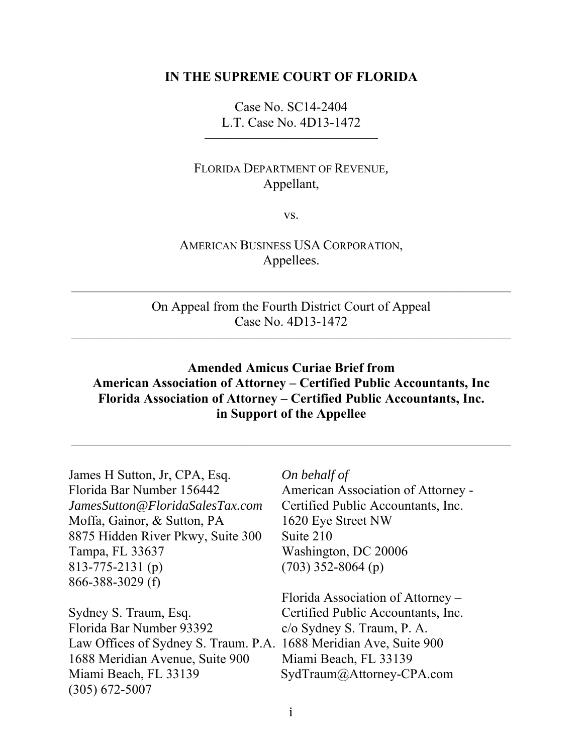#### **IN THE SUPREME COURT OF FLORIDA**

Case No. SC14-2404 L.T. Case No. 4D13-1472

—————————————

#### FLORIDA DEPARTMENT OF REVENUE*,*  Appellant,

vs.

#### AMERICAN BUSINESS USA CORPORATION, Appellees.

On Appeal from the Fourth District Court of Appeal Case No. 4D13-1472

 $\overline{\phantom{a}}$  , and the contract of the contract of the contract of the contract of the contract of the contract of the contract of the contract of the contract of the contract of the contract of the contract of the contrac

 $\overline{\phantom{a}}$  , and the contract of the contract of the contract of the contract of the contract of the contract of the contract of the contract of the contract of the contract of the contract of the contract of the contrac

## **Amended Amicus Curiae Brief from American Association of Attorney – Certified Public Accountants, Inc Florida Association of Attorney – Certified Public Accountants, Inc. in Support of the Appellee**

—————————————————————————————————

James H Sutton, Jr, CPA, Esq. *On behalf of* Florida Bar Number 156442 American Association of Attorney -*JamesSutton@FloridaSalesTax.com* Certified Public Accountants, Inc. Moffa, Gainor, & Sutton, PA 1620 Eye Street NW 8875 Hidden River Pkwy, Suite 300 Suite 210 Tampa, FL 33637 Washington, DC 20006 813-775-2131 (p) (703) 352-8064 (p) 866-388-3029 (f)

Sydney S. Traum, Esq. Certified Public Accountants, Inc. Florida Bar Number 93392 c/o Sydney S. Traum, P. A. Law Offices of Sydney S. Traum. P.A. 1688 Meridian Ave, Suite 900 1688 Meridian Avenue, Suite 900 Miami Beach, FL 33139 Miami Beach, FL 33139 SydTraum@Attorney-CPA.com (305) 672-5007

Florida Association of Attorney –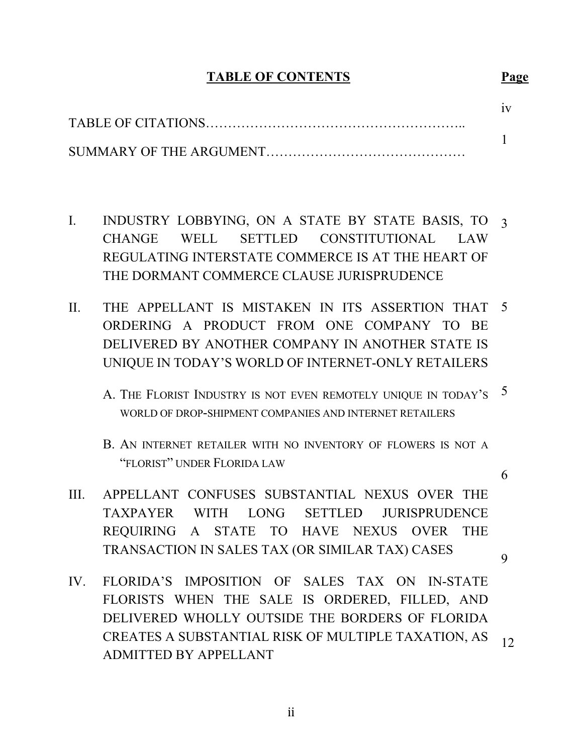## **TABLE OF CONTENTS Page**

- I. INDUSTRY LOBBYING, ON A STATE BY STATE BASIS, TO 3 CHANGE WELL SETTLED CONSTITUTIONAL LAW REGULATING INTERSTATE COMMERCE IS AT THE HEART OF THE DORMANT COMMERCE CLAUSE JURISPRUDENCE
- II. THE APPELLANT IS MISTAKEN IN ITS ASSERTION THAT 5 ORDERING A PRODUCT FROM ONE COMPANY TO BE DELIVERED BY ANOTHER COMPANY IN ANOTHER STATE IS UNIQUE IN TODAY'S WORLD OF INTERNET-ONLY RETAILERS
	- A. THE FLORIST INDUSTRY IS NOT EVEN REMOTELY UNIQUE IN TODAY'S 5 WORLD OF DROP-SHIPMENT COMPANIES AND INTERNET RETAILERS
	- B. AN INTERNET RETAILER WITH NO INVENTORY OF FLOWERS IS NOT A "FLORIST" UNDER FLORIDA LAW
- III. APPELLANT CONFUSES SUBSTANTIAL NEXUS OVER THE TAXPAYER WITH LONG SETTLED JURISPRUDENCE REQUIRING A STATE TO HAVE NEXUS OVER THE TRANSACTION IN SALES TAX (OR SIMILAR TAX) CASES

9

6

IV. FLORIDA'S IMPOSITION OF SALES TAX ON IN-STATE FLORISTS WHEN THE SALE IS ORDERED, FILLED, AND DELIVERED WHOLLY OUTSIDE THE BORDERS OF FLORIDA CREATES A SUBSTANTIAL RISK OF MULTIPLE TAXATION, AS ADMITTED BY APPELLANT 12

 $\frac{1}{11}$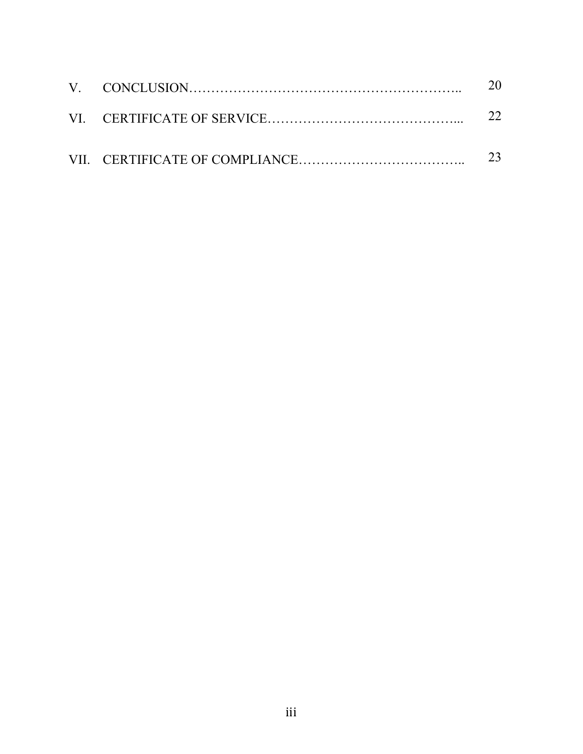|  | 20. |
|--|-----|
|  |     |
|  |     |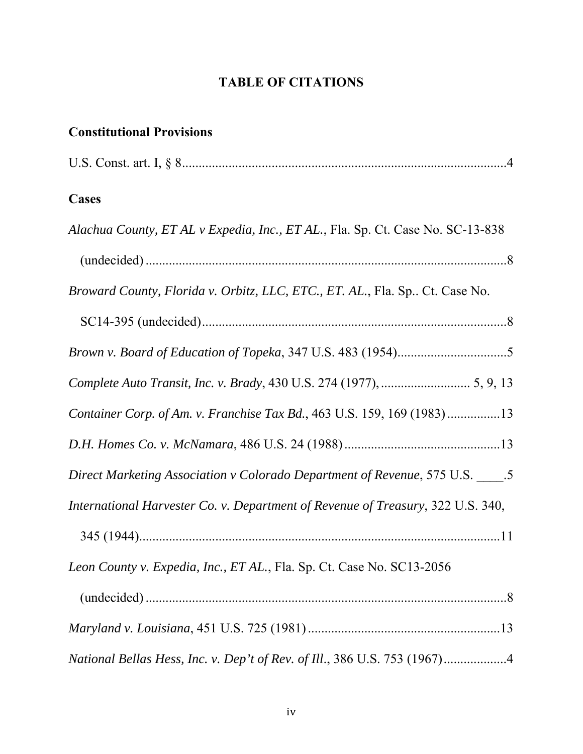# **TABLE OF CITATIONS**

## **Constitutional Provisions**

|--|--|--|--|

## **Cases**

| Alachua County, ET AL v Expedia, Inc., ET AL., Fla. Sp. Ct. Case No. SC-13-838  |
|---------------------------------------------------------------------------------|
|                                                                                 |
| Broward County, Florida v. Orbitz, LLC, ETC., ET. AL., Fla. Sp Ct. Case No.     |
|                                                                                 |
|                                                                                 |
|                                                                                 |
| Container Corp. of Am. v. Franchise Tax Bd., 463 U.S. 159, 169 (1983)13         |
|                                                                                 |
| Direct Marketing Association v Colorado Department of Revenue, 575 U.S. _____.5 |
| International Harvester Co. v. Department of Revenue of Treasury, 322 U.S. 340, |
|                                                                                 |
| Leon County v. Expedia, Inc., ET AL., Fla. Sp. Ct. Case No. SC13-2056           |
|                                                                                 |
|                                                                                 |
| National Bellas Hess, Inc. v. Dep't of Rev. of Ill., 386 U.S. 753 (1967)4       |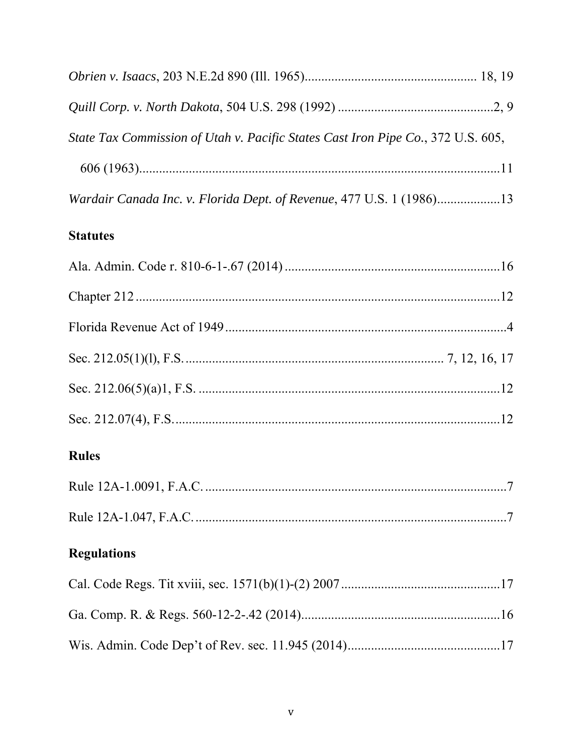| State Tax Commission of Utah v. Pacific States Cast Iron Pipe Co., 372 U.S. 605, |
|----------------------------------------------------------------------------------|
|                                                                                  |
| Wardair Canada Inc. v. Florida Dept. of Revenue, 477 U.S. 1 (1986)13             |

## **Statutes**

| <b>Rules</b>       |  |
|--------------------|--|
|                    |  |
|                    |  |
| <b>Regulations</b> |  |
|                    |  |
|                    |  |
|                    |  |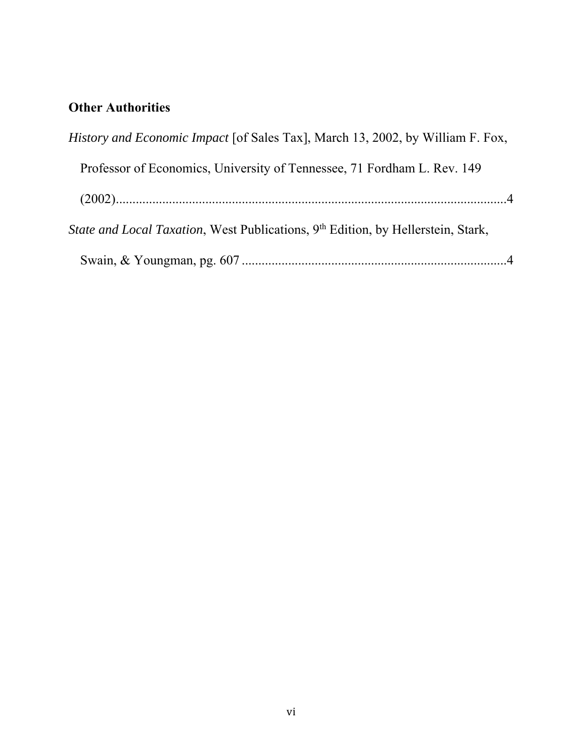## **Other Authorities**

| <i>History and Economic Impact</i> [of Sales Tax], March 13, 2002, by William F. Fox,        |  |
|----------------------------------------------------------------------------------------------|--|
| Professor of Economics, University of Tennessee, 71 Fordham L. Rev. 149                      |  |
|                                                                                              |  |
| State and Local Taxation, West Publications, 9 <sup>th</sup> Edition, by Hellerstein, Stark, |  |
|                                                                                              |  |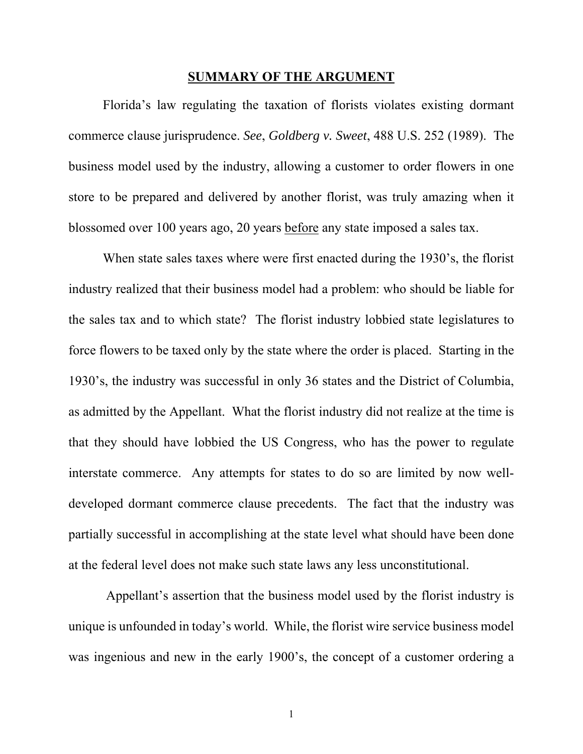#### **SUMMARY OF THE ARGUMENT**

 Florida's law regulating the taxation of florists violates existing dormant commerce clause jurisprudence. *See*, *Goldberg v. Sweet*, 488 U.S. 252 (1989). The business model used by the industry, allowing a customer to order flowers in one store to be prepared and delivered by another florist, was truly amazing when it blossomed over 100 years ago, 20 years before any state imposed a sales tax.

When state sales taxes where were first enacted during the 1930's, the florist industry realized that their business model had a problem: who should be liable for the sales tax and to which state? The florist industry lobbied state legislatures to force flowers to be taxed only by the state where the order is placed. Starting in the 1930's, the industry was successful in only 36 states and the District of Columbia, as admitted by the Appellant. What the florist industry did not realize at the time is that they should have lobbied the US Congress, who has the power to regulate interstate commerce. Any attempts for states to do so are limited by now welldeveloped dormant commerce clause precedents. The fact that the industry was partially successful in accomplishing at the state level what should have been done at the federal level does not make such state laws any less unconstitutional.

 Appellant's assertion that the business model used by the florist industry is unique is unfounded in today's world. While, the florist wire service business model was ingenious and new in the early 1900's, the concept of a customer ordering a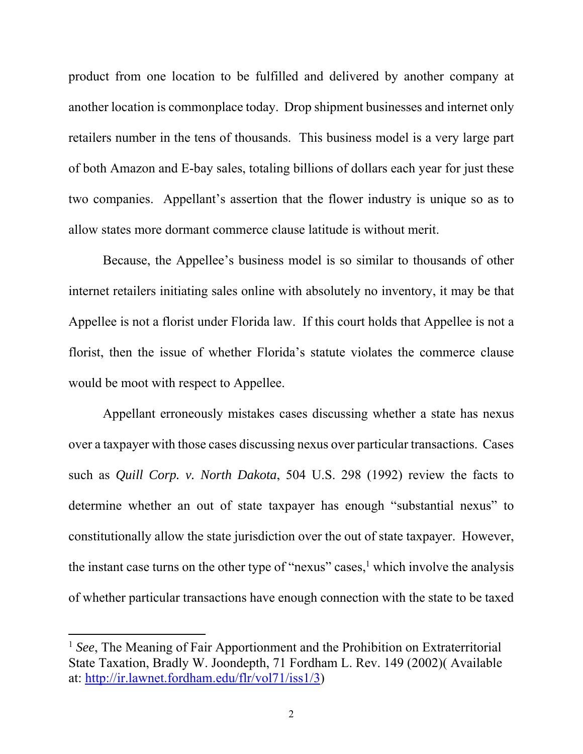product from one location to be fulfilled and delivered by another company at another location is commonplace today. Drop shipment businesses and internet only retailers number in the tens of thousands. This business model is a very large part of both Amazon and E-bay sales, totaling billions of dollars each year for just these two companies. Appellant's assertion that the flower industry is unique so as to allow states more dormant commerce clause latitude is without merit.

Because, the Appellee's business model is so similar to thousands of other internet retailers initiating sales online with absolutely no inventory, it may be that Appellee is not a florist under Florida law. If this court holds that Appellee is not a florist, then the issue of whether Florida's statute violates the commerce clause would be moot with respect to Appellee.

Appellant erroneously mistakes cases discussing whether a state has nexus over a taxpayer with those cases discussing nexus over particular transactions. Cases such as *Quill Corp. v. North Dakota*, 504 U.S. 298 (1992) review the facts to determine whether an out of state taxpayer has enough "substantial nexus" to constitutionally allow the state jurisdiction over the out of state taxpayer. However, the instant case turns on the other type of "nexus" cases, $<sup>1</sup>$  which involve the analysis</sup> of whether particular transactions have enough connection with the state to be taxed

<sup>1</sup> *See*, The Meaning of Fair Apportionment and the Prohibition on Extraterritorial State Taxation, Bradly W. Joondepth, 71 Fordham L. Rev. 149 (2002)( Available at: http://ir.lawnet.fordham.edu/flr/vol71/iss1/3)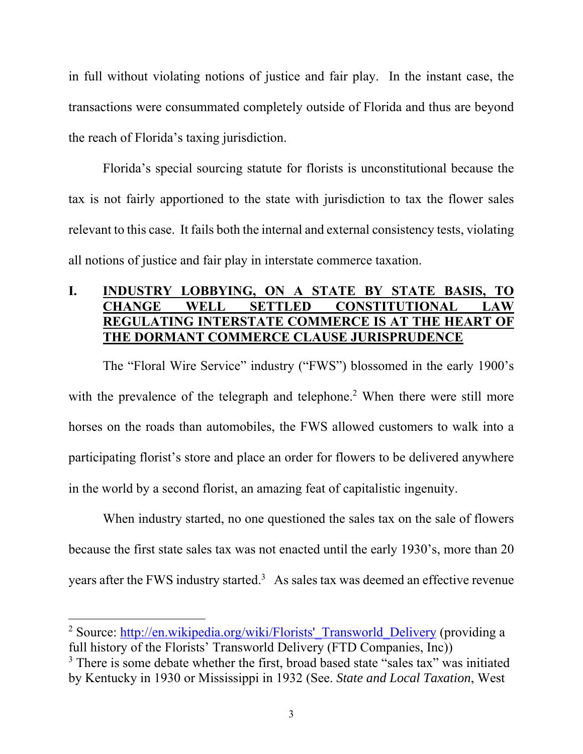in full without violating notions of justice and fair play. In the instant case, the transactions were consummated completely outside of Florida and thus are beyond the reach of Florida's taxing jurisdiction.

Florida's special sourcing statute for florists is unconstitutional because the tax is not fairly apportioned to the state with jurisdiction to tax the flower sales relevant to this case. It fails both the internal and external consistency tests, violating all notions of justice and fair play in interstate commerce taxation.

## **I. INDUSTRY LOBBYING, ON A STATE BY STATE BASIS, TO CHANGE WELL SETTLED CONSTITUTIONAL LAW REGULATING INTERSTATE COMMERCE IS AT THE HEART OF THE DORMANT COMMERCE CLAUSE JURISPRUDENCE**

The "Floral Wire Service" industry ("FWS") blossomed in the early 1900's with the prevalence of the telegraph and telephone.<sup>2</sup> When there were still more horses on the roads than automobiles, the FWS allowed customers to walk into a participating florist's store and place an order for flowers to be delivered anywhere in the world by a second florist, an amazing feat of capitalistic ingenuity.

When industry started, no one questioned the sales tax on the sale of flowers because the first state sales tax was not enacted until the early 1930's, more than 20 years after the FWS industry started.<sup>3</sup> As sales tax was deemed an effective revenue

 <sup>2</sup> Source: http://en.wikipedia.org/wiki/Florists' Transworld Delivery (providing a full history of the Florists' Transworld Delivery (FTD Companies, Inc))

<sup>&</sup>lt;sup>3</sup> There is some debate whether the first, broad based state "sales tax" was initiated by Kentucky in 1930 or Mississippi in 1932 (See. *State and Local Taxation*, West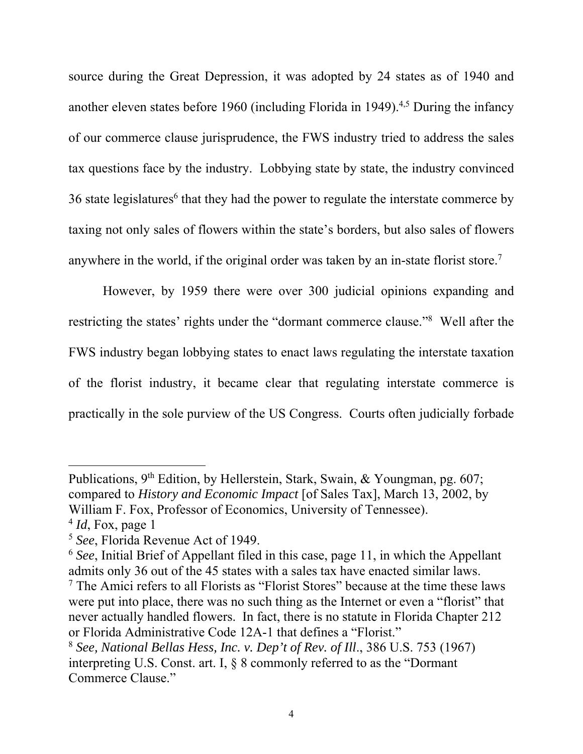source during the Great Depression, it was adopted by 24 states as of 1940 and another eleven states before 1960 (including Florida in 1949).<sup>4,5</sup> During the infancy of our commerce clause jurisprudence, the FWS industry tried to address the sales tax questions face by the industry. Lobbying state by state, the industry convinced 36 state legislatures<sup>6</sup> that they had the power to regulate the interstate commerce by taxing not only sales of flowers within the state's borders, but also sales of flowers anywhere in the world, if the original order was taken by an in-state florist store.7

However, by 1959 there were over 300 judicial opinions expanding and restricting the states' rights under the "dormant commerce clause."<sup>8</sup> Well after the FWS industry began lobbying states to enact laws regulating the interstate taxation of the florist industry, it became clear that regulating interstate commerce is practically in the sole purview of the US Congress. Courts often judicially forbade

Publications, 9<sup>th</sup> Edition, by Hellerstein, Stark, Swain, & Youngman, pg. 607; compared to *History and Economic Impact* [of Sales Tax], March 13, 2002, by William F. Fox, Professor of Economics, University of Tennessee).

<sup>4</sup> *Id*, Fox, page 1

<sup>5</sup> *See*, Florida Revenue Act of 1949.

<sup>6</sup> *See*, Initial Brief of Appellant filed in this case, page 11, in which the Appellant admits only 36 out of the 45 states with a sales tax have enacted similar laws.

<sup>7</sup> The Amici refers to all Florists as "Florist Stores" because at the time these laws were put into place, there was no such thing as the Internet or even a "florist" that never actually handled flowers. In fact, there is no statute in Florida Chapter 212 or Florida Administrative Code 12A-1 that defines a "Florist."

<sup>8</sup> *See, National Bellas Hess, Inc. v. Dep't of Rev. of Ill*., 386 U.S. 753 (1967) interpreting U.S. Const. art. I, § 8 commonly referred to as the "Dormant Commerce Clause."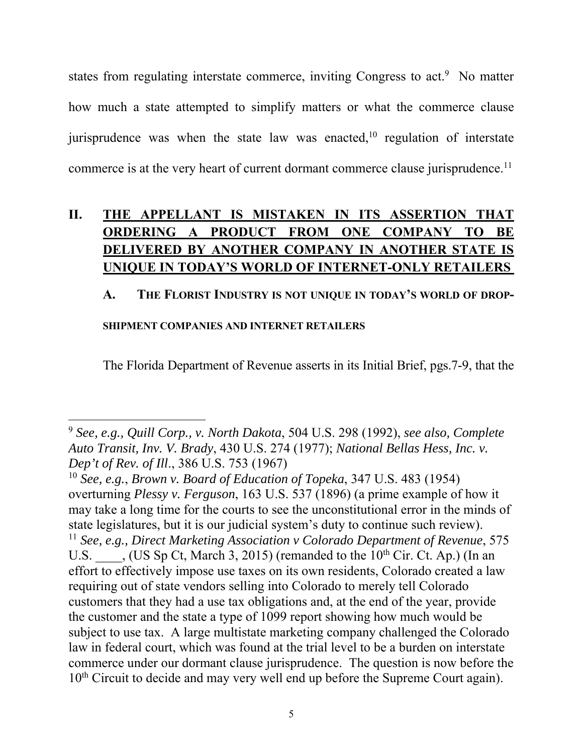states from regulating interstate commerce, inviting Congress to act.<sup>9</sup> No matter how much a state attempted to simplify matters or what the commerce clause jurisprudence was when the state law was enacted,<sup>10</sup> regulation of interstate commerce is at the very heart of current dormant commerce clause jurisprudence.<sup>11</sup>

## **II. THE APPELLANT IS MISTAKEN IN ITS ASSERTION THAT ORDERING A PRODUCT FROM ONE COMPANY TO BE DELIVERED BY ANOTHER COMPANY IN ANOTHER STATE IS UNIQUE IN TODAY'S WORLD OF INTERNET-ONLY RETAILERS**

#### **A. THE FLORIST INDUSTRY IS NOT UNIQUE IN TODAY'S WORLD OF DROP-**

#### **SHIPMENT COMPANIES AND INTERNET RETAILERS**

The Florida Department of Revenue asserts in its Initial Brief, pgs.7-9, that the

 <sup>9</sup> *See, e.g., Quill Corp., v. North Dakota*, 504 U.S. 298 (1992), *see also, Complete Auto Transit, Inv. V. Brady*, 430 U.S. 274 (1977); *National Bellas Hess, Inc. v. Dep't of Rev. of Ill*., 386 U.S. 753 (1967)

<sup>10</sup> *See, e.g.*, *Brown v. Board of Education of Topeka*, 347 U.S. 483 (1954) overturning *Plessy v. Ferguson*, 163 U.S. 537 (1896) (a prime example of how it may take a long time for the courts to see the unconstitutional error in the minds of state legislatures, but it is our judicial system's duty to continue such review). <sup>11</sup> *See, e.g., Direct Marketing Association v Colorado Department of Revenue*, 575 U.S.  $\qquad \qquad$ , (US Sp Ct, March 3, 2015) (remanded to the 10<sup>th</sup> Cir. Ct. Ap.) (In an effort to effectively impose use taxes on its own residents, Colorado created a law requiring out of state vendors selling into Colorado to merely tell Colorado customers that they had a use tax obligations and, at the end of the year, provide the customer and the state a type of 1099 report showing how much would be subject to use tax. A large multistate marketing company challenged the Colorado law in federal court, which was found at the trial level to be a burden on interstate commerce under our dormant clause jurisprudence. The question is now before the 10<sup>th</sup> Circuit to decide and may very well end up before the Supreme Court again).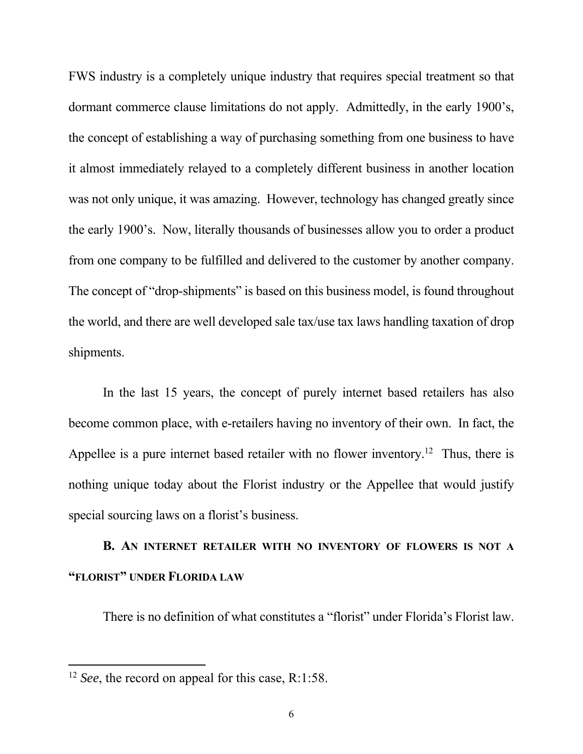FWS industry is a completely unique industry that requires special treatment so that dormant commerce clause limitations do not apply. Admittedly, in the early 1900's, the concept of establishing a way of purchasing something from one business to have it almost immediately relayed to a completely different business in another location was not only unique, it was amazing. However, technology has changed greatly since the early 1900's. Now, literally thousands of businesses allow you to order a product from one company to be fulfilled and delivered to the customer by another company. The concept of "drop-shipments" is based on this business model, is found throughout the world, and there are well developed sale tax/use tax laws handling taxation of drop shipments.

In the last 15 years, the concept of purely internet based retailers has also become common place, with e-retailers having no inventory of their own. In fact, the Appellee is a pure internet based retailer with no flower inventory.<sup>12</sup> Thus, there is nothing unique today about the Florist industry or the Appellee that would justify special sourcing laws on a florist's business.

# **B. AN INTERNET RETAILER WITH NO INVENTORY OF FLOWERS IS NOT A "FLORIST" UNDER FLORIDA LAW**

There is no definition of what constitutes a "florist" under Florida's Florist law.

<sup>12</sup> *See*, the record on appeal for this case, R:1:58.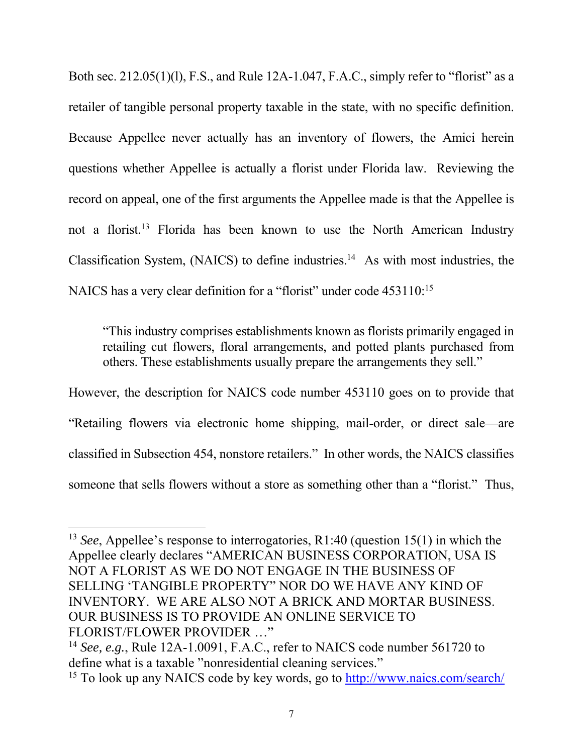Both sec. 212.05(1)(l), F.S., and Rule 12A-1.047, F.A.C., simply refer to "florist" as a retailer of tangible personal property taxable in the state, with no specific definition. Because Appellee never actually has an inventory of flowers, the Amici herein questions whether Appellee is actually a florist under Florida law. Reviewing the record on appeal, one of the first arguments the Appellee made is that the Appellee is not a florist.13 Florida has been known to use the North American Industry Classification System, (NAICS) to define industries.<sup>14</sup> As with most industries, the NAICS has a very clear definition for a "florist" under code 453110:<sup>15</sup>

"This industry comprises establishments known as florists primarily engaged in retailing cut flowers, floral arrangements, and potted plants purchased from others. These establishments usually prepare the arrangements they sell."

However, the description for NAICS code number 453110 goes on to provide that "Retailing flowers via electronic home shipping, mail-order, or direct sale—are classified in Subsection 454, nonstore retailers." In other words, the NAICS classifies someone that sells flowers without a store as something other than a "florist." Thus,

<sup>13</sup> *See*, Appellee's response to interrogatories, R1:40 (question 15(1) in which the Appellee clearly declares "AMERICAN BUSINESS CORPORATION, USA IS NOT A FLORIST AS WE DO NOT ENGAGE IN THE BUSINESS OF SELLING 'TANGIBLE PROPERTY" NOR DO WE HAVE ANY KIND OF INVENTORY. WE ARE ALSO NOT A BRICK AND MORTAR BUSINESS. OUR BUSINESS IS TO PROVIDE AN ONLINE SERVICE TO FLORIST/FLOWER PROVIDER …"

<sup>14</sup> *See, e.g.*, Rule 12A-1.0091, F.A.C., refer to NAICS code number 561720 to define what is a taxable "nonresidential cleaning services."

<sup>15</sup> To look up any NAICS code by key words, go to http://www.naics.com/search/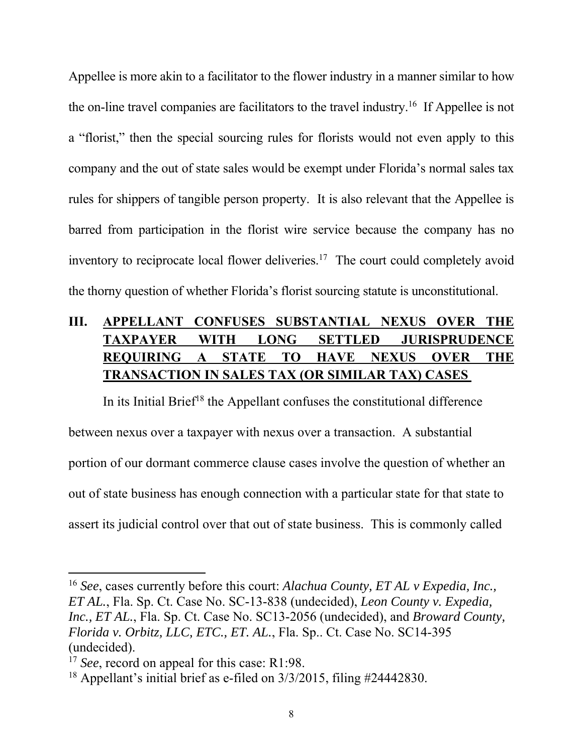Appellee is more akin to a facilitator to the flower industry in a manner similar to how the on-line travel companies are facilitators to the travel industry.16 If Appellee is not a "florist," then the special sourcing rules for florists would not even apply to this company and the out of state sales would be exempt under Florida's normal sales tax rules for shippers of tangible person property. It is also relevant that the Appellee is barred from participation in the florist wire service because the company has no inventory to reciprocate local flower deliveries.17 The court could completely avoid the thorny question of whether Florida's florist sourcing statute is unconstitutional.

# **III. APPELLANT CONFUSES SUBSTANTIAL NEXUS OVER THE TAXPAYER WITH LONG SETTLED JURISPRUDENCE REQUIRING A STATE TO HAVE NEXUS OVER THE TRANSACTION IN SALES TAX (OR SIMILAR TAX) CASES**

In its Initial Brief<sup>18</sup> the Appellant confuses the constitutional difference between nexus over a taxpayer with nexus over a transaction. A substantial portion of our dormant commerce clause cases involve the question of whether an out of state business has enough connection with a particular state for that state to assert its judicial control over that out of state business. This is commonly called

<sup>16</sup> *See*, cases currently before this court: *Alachua County, ET AL v Expedia, Inc., ET AL.*, Fla. Sp. Ct. Case No. SC-13-838 (undecided), *Leon County v. Expedia, Inc., ET AL.*, Fla. Sp. Ct. Case No. SC13-2056 (undecided), and *Broward County, Florida v. Orbitz, LLC, ETC., ET. AL.*, Fla. Sp.. Ct. Case No. SC14-395 (undecided).

<sup>&</sup>lt;sup>17</sup> *See*, record on appeal for this case: R1:98.

<sup>&</sup>lt;sup>18</sup> Appellant's initial brief as e-filed on  $3/3/2015$ , filing #24442830.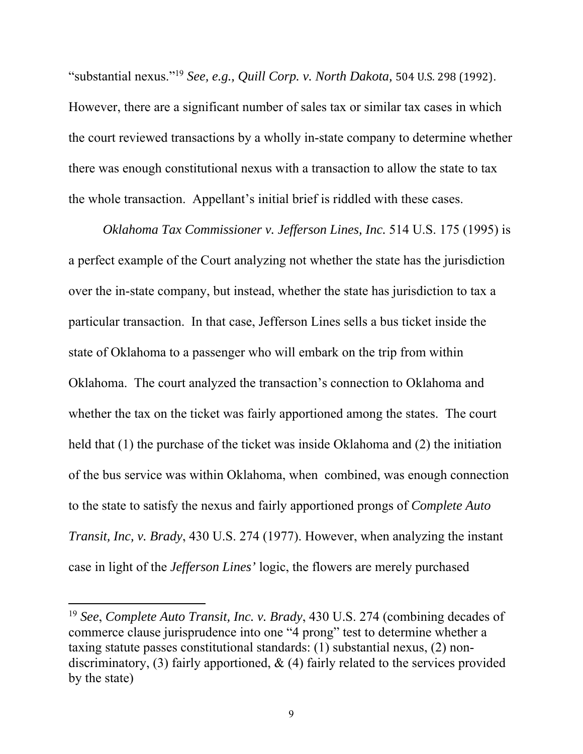"substantial nexus."<sup>19</sup> *See, e.g., Quill Corp. v. North Dakota,* 504 U.S. 298 (1992). However, there are a significant number of sales tax or similar tax cases in which the court reviewed transactions by a wholly in-state company to determine whether there was enough constitutional nexus with a transaction to allow the state to tax the whole transaction. Appellant's initial brief is riddled with these cases.

*Oklahoma Tax Commissioner v. Jefferson Lines, Inc.* 514 U.S. 175 (1995) is a perfect example of the Court analyzing not whether the state has the jurisdiction over the in-state company, but instead, whether the state has jurisdiction to tax a particular transaction. In that case, Jefferson Lines sells a bus ticket inside the state of Oklahoma to a passenger who will embark on the trip from within Oklahoma. The court analyzed the transaction's connection to Oklahoma and whether the tax on the ticket was fairly apportioned among the states. The court held that (1) the purchase of the ticket was inside Oklahoma and (2) the initiation of the bus service was within Oklahoma, when combined, was enough connection to the state to satisfy the nexus and fairly apportioned prongs of *Complete Auto Transit, Inc, v. Brady*, 430 U.S. 274 (1977). However, when analyzing the instant case in light of the *Jefferson Lines'* logic, the flowers are merely purchased

<sup>19</sup> *See*, *Complete Auto Transit, Inc. v. Brady*, 430 U.S. 274 (combining decades of commerce clause jurisprudence into one "4 prong" test to determine whether a taxing statute passes constitutional standards: (1) substantial nexus, (2) nondiscriminatory, (3) fairly apportioned,  $\&$  (4) fairly related to the services provided by the state)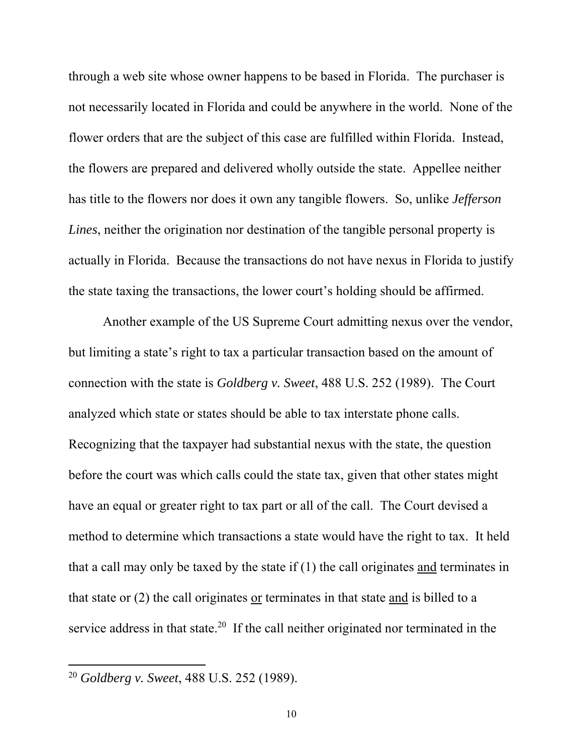through a web site whose owner happens to be based in Florida. The purchaser is not necessarily located in Florida and could be anywhere in the world. None of the flower orders that are the subject of this case are fulfilled within Florida. Instead, the flowers are prepared and delivered wholly outside the state. Appellee neither has title to the flowers nor does it own any tangible flowers. So, unlike *Jefferson Lines*, neither the origination nor destination of the tangible personal property is actually in Florida. Because the transactions do not have nexus in Florida to justify the state taxing the transactions, the lower court's holding should be affirmed.

Another example of the US Supreme Court admitting nexus over the vendor, but limiting a state's right to tax a particular transaction based on the amount of connection with the state is *Goldberg v. Sweet*, 488 U.S. 252 (1989). The Court analyzed which state or states should be able to tax interstate phone calls. Recognizing that the taxpayer had substantial nexus with the state, the question before the court was which calls could the state tax, given that other states might have an equal or greater right to tax part or all of the call. The Court devised a method to determine which transactions a state would have the right to tax. It held that a call may only be taxed by the state if (1) the call originates and terminates in that state or (2) the call originates or terminates in that state and is billed to a service address in that state.<sup>20</sup> If the call neither originated nor terminated in the

<sup>20</sup> *Goldberg v. Sweet*, 488 U.S. 252 (1989).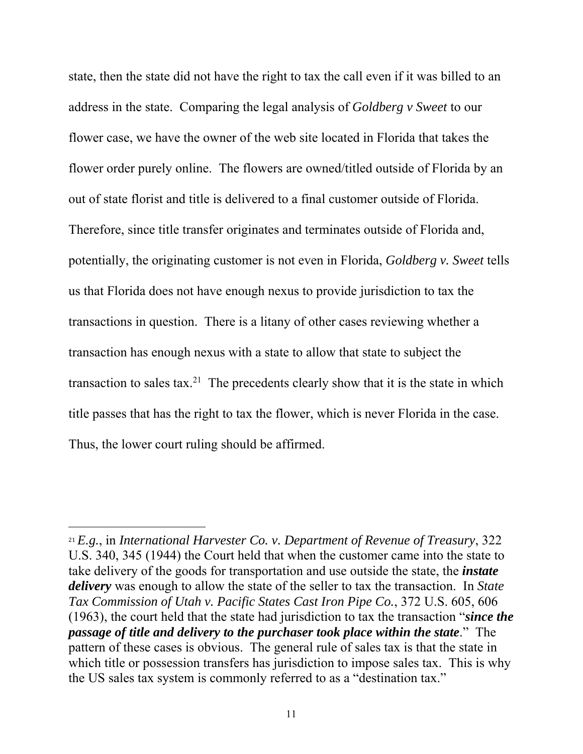state, then the state did not have the right to tax the call even if it was billed to an address in the state. Comparing the legal analysis of *Goldberg v Sweet* to our flower case, we have the owner of the web site located in Florida that takes the flower order purely online. The flowers are owned/titled outside of Florida by an out of state florist and title is delivered to a final customer outside of Florida. Therefore, since title transfer originates and terminates outside of Florida and, potentially, the originating customer is not even in Florida, *Goldberg v. Sweet* tells us that Florida does not have enough nexus to provide jurisdiction to tax the transactions in question. There is a litany of other cases reviewing whether a transaction has enough nexus with a state to allow that state to subject the transaction to sales tax.<sup>21</sup> The precedents clearly show that it is the state in which title passes that has the right to tax the flower, which is never Florida in the case. Thus, the lower court ruling should be affirmed.

<sup>21</sup> *E.g.*, in *International Harvester Co. v. Department of Revenue of Treasury*, 322 U.S. 340, 345 (1944) the Court held that when the customer came into the state to take delivery of the goods for transportation and use outside the state, the *instate delivery* was enough to allow the state of the seller to tax the transaction. In *State Tax Commission of Utah v. Pacific States Cast Iron Pipe Co.*, 372 U.S. 605, 606 (1963), the court held that the state had jurisdiction to tax the transaction "*since the passage of title and delivery to the purchaser took place within the state*." The pattern of these cases is obvious. The general rule of sales tax is that the state in which title or possession transfers has jurisdiction to impose sales tax. This is why the US sales tax system is commonly referred to as a "destination tax."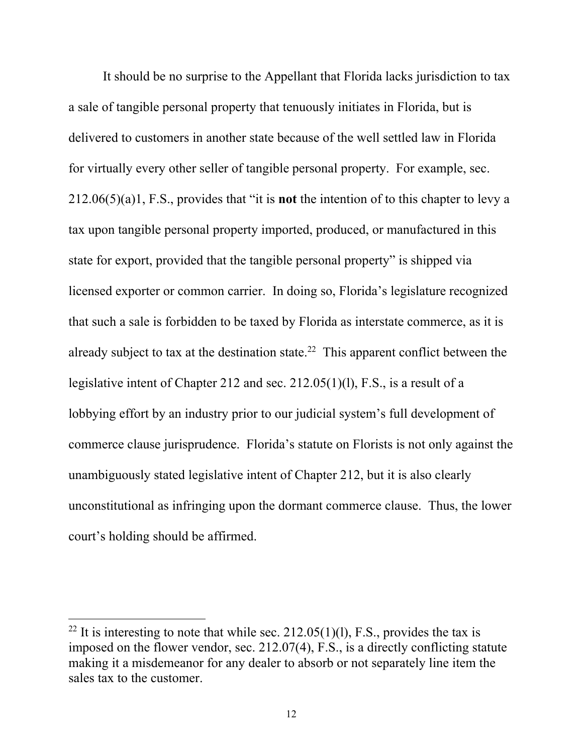It should be no surprise to the Appellant that Florida lacks jurisdiction to tax a sale of tangible personal property that tenuously initiates in Florida, but is delivered to customers in another state because of the well settled law in Florida for virtually every other seller of tangible personal property. For example, sec. 212.06(5)(a)1, F.S., provides that "it is **not** the intention of to this chapter to levy a tax upon tangible personal property imported, produced, or manufactured in this state for export, provided that the tangible personal property" is shipped via licensed exporter or common carrier. In doing so, Florida's legislature recognized that such a sale is forbidden to be taxed by Florida as interstate commerce, as it is already subject to tax at the destination state.<sup>22</sup> This apparent conflict between the legislative intent of Chapter 212 and sec. 212.05(1)(l), F.S., is a result of a lobbying effort by an industry prior to our judicial system's full development of commerce clause jurisprudence. Florida's statute on Florists is not only against the unambiguously stated legislative intent of Chapter 212, but it is also clearly unconstitutional as infringing upon the dormant commerce clause. Thus, the lower court's holding should be affirmed.

<sup>&</sup>lt;sup>22</sup> It is interesting to note that while sec.  $212.05(1)(1)$ , F.S., provides the tax is imposed on the flower vendor, sec. 212.07(4), F.S., is a directly conflicting statute making it a misdemeanor for any dealer to absorb or not separately line item the sales tax to the customer.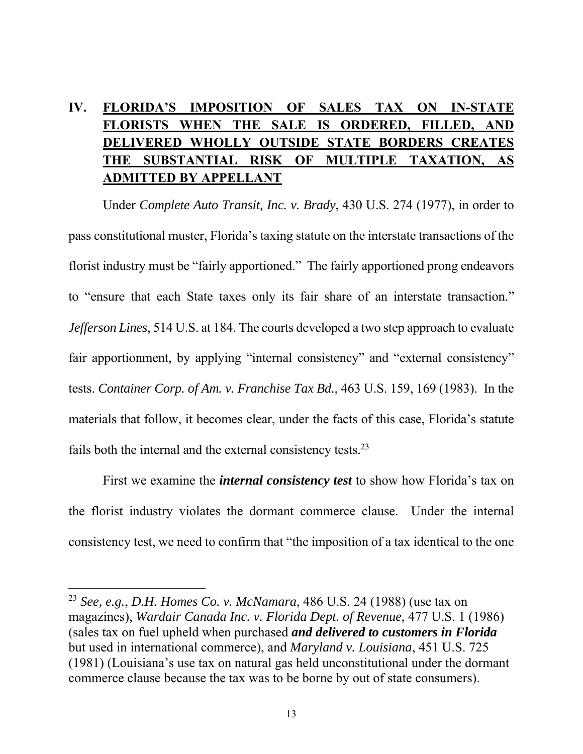# **IV. FLORIDA'S IMPOSITION OF SALES TAX ON IN-STATE FLORISTS WHEN THE SALE IS ORDERED, FILLED, AND DELIVERED WHOLLY OUTSIDE STATE BORDERS CREATES THE SUBSTANTIAL RISK OF MULTIPLE TAXATION, AS ADMITTED BY APPELLANT**

Under *Complete Auto Transit, Inc. v. Brady*, 430 U.S. 274 (1977), in order to pass constitutional muster, Florida's taxing statute on the interstate transactions of the florist industry must be "fairly apportioned." The fairly apportioned prong endeavors to "ensure that each State taxes only its fair share of an interstate transaction." *Jefferson Lines*, 514 U.S. at 184. The courts developed a two step approach to evaluate fair apportionment, by applying "internal consistency" and "external consistency" tests. *Container Corp. of Am. v. Franchise Tax Bd.*, 463 U.S. 159, 169 (1983). In the materials that follow, it becomes clear, under the facts of this case, Florida's statute fails both the internal and the external consistency tests.<sup>23</sup>

First we examine the *internal consistency test* to show how Florida's tax on the florist industry violates the dormant commerce clause. Under the internal consistency test, we need to confirm that "the imposition of a tax identical to the one

<sup>23</sup> *See, e.g.*, *D.H. Homes Co. v. McNamara*, 486 U.S. 24 (1988) (use tax on magazines), *Wardair Canada Inc. v. Florida Dept. of Revenue*, 477 U.S. 1 (1986) (sales tax on fuel upheld when purchased *and delivered to customers in Florida* but used in international commerce), and *Maryland v. Louisiana*, 451 U.S. 725 (1981) (Louisiana's use tax on natural gas held unconstitutional under the dormant commerce clause because the tax was to be borne by out of state consumers).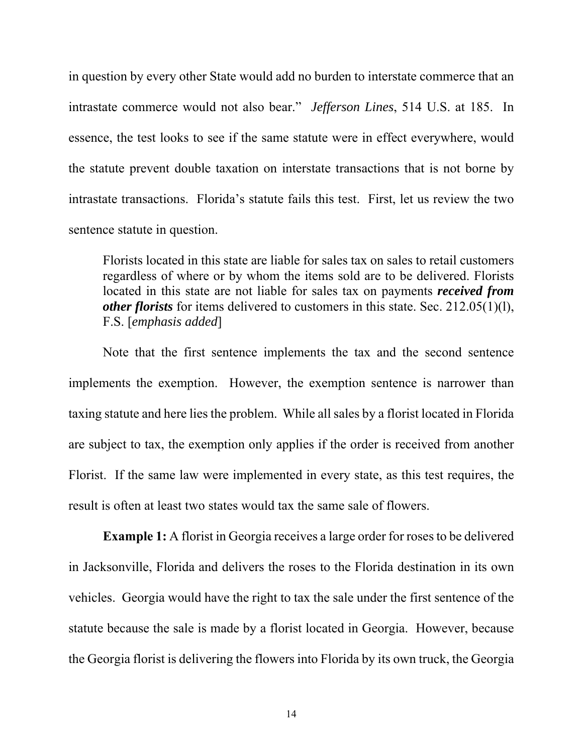in question by every other State would add no burden to interstate commerce that an intrastate commerce would not also bear." *Jefferson Lines*, 514 U.S. at 185. In essence, the test looks to see if the same statute were in effect everywhere, would the statute prevent double taxation on interstate transactions that is not borne by intrastate transactions. Florida's statute fails this test. First, let us review the two sentence statute in question.

Florists located in this state are liable for sales tax on sales to retail customers regardless of where or by whom the items sold are to be delivered. Florists located in this state are not liable for sales tax on payments *received from other florists* for items delivered to customers in this state. Sec. 212.05(1)(l), F.S. [*emphasis added*]

Note that the first sentence implements the tax and the second sentence implements the exemption. However, the exemption sentence is narrower than taxing statute and here lies the problem. While all sales by a florist located in Florida are subject to tax, the exemption only applies if the order is received from another Florist. If the same law were implemented in every state, as this test requires, the result is often at least two states would tax the same sale of flowers.

**Example 1:** A florist in Georgia receives a large order for roses to be delivered in Jacksonville, Florida and delivers the roses to the Florida destination in its own vehicles. Georgia would have the right to tax the sale under the first sentence of the statute because the sale is made by a florist located in Georgia. However, because the Georgia florist is delivering the flowers into Florida by its own truck, the Georgia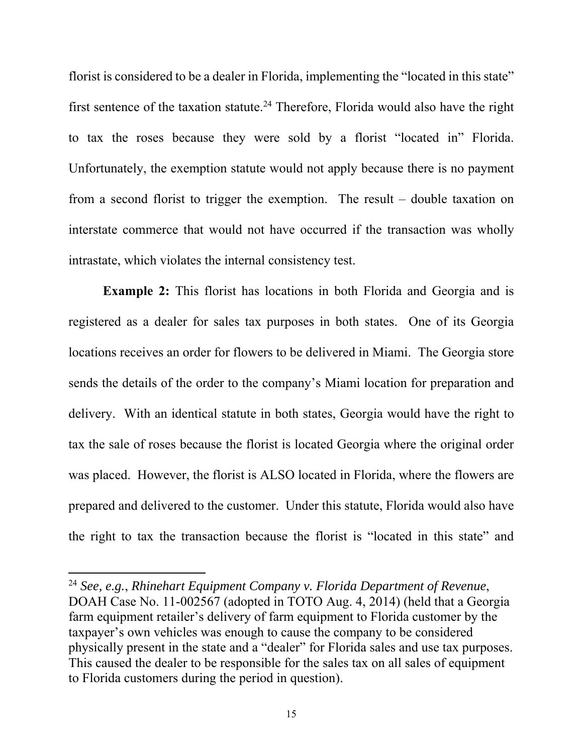florist is considered to be a dealer in Florida, implementing the "located in this state" first sentence of the taxation statute.24 Therefore, Florida would also have the right to tax the roses because they were sold by a florist "located in" Florida. Unfortunately, the exemption statute would not apply because there is no payment from a second florist to trigger the exemption. The result – double taxation on interstate commerce that would not have occurred if the transaction was wholly intrastate, which violates the internal consistency test.

**Example 2:** This florist has locations in both Florida and Georgia and is registered as a dealer for sales tax purposes in both states. One of its Georgia locations receives an order for flowers to be delivered in Miami. The Georgia store sends the details of the order to the company's Miami location for preparation and delivery. With an identical statute in both states, Georgia would have the right to tax the sale of roses because the florist is located Georgia where the original order was placed. However, the florist is ALSO located in Florida, where the flowers are prepared and delivered to the customer. Under this statute, Florida would also have the right to tax the transaction because the florist is "located in this state" and

<sup>24</sup> *See, e.g.*, *Rhinehart Equipment Company v. Florida Department of Revenue*, DOAH Case No. 11-002567 (adopted in TOTO Aug. 4, 2014) (held that a Georgia farm equipment retailer's delivery of farm equipment to Florida customer by the taxpayer's own vehicles was enough to cause the company to be considered physically present in the state and a "dealer" for Florida sales and use tax purposes. This caused the dealer to be responsible for the sales tax on all sales of equipment to Florida customers during the period in question).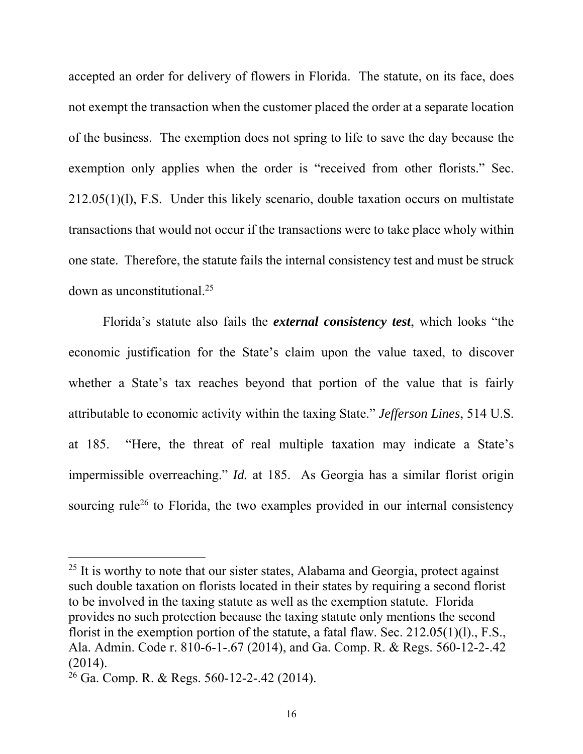accepted an order for delivery of flowers in Florida. The statute, on its face, does not exempt the transaction when the customer placed the order at a separate location of the business. The exemption does not spring to life to save the day because the exemption only applies when the order is "received from other florists." Sec. 212.05(1)(l), F.S. Under this likely scenario, double taxation occurs on multistate transactions that would not occur if the transactions were to take place wholy within one state. Therefore, the statute fails the internal consistency test and must be struck down as unconstitutional.25

Florida's statute also fails the *external consistency test*, which looks "the economic justification for the State's claim upon the value taxed, to discover whether a State's tax reaches beyond that portion of the value that is fairly attributable to economic activity within the taxing State." *Jefferson Lines*, 514 U.S. at 185. "Here, the threat of real multiple taxation may indicate a State's impermissible overreaching." *Id.* at 185. As Georgia has a similar florist origin sourcing rule<sup>26</sup> to Florida, the two examples provided in our internal consistency

 $25$  It is worthy to note that our sister states, Alabama and Georgia, protect against such double taxation on florists located in their states by requiring a second florist to be involved in the taxing statute as well as the exemption statute. Florida provides no such protection because the taxing statute only mentions the second florist in the exemption portion of the statute, a fatal flaw. Sec. 212.05(1)(l)., F.S., Ala. Admin. Code r. 810-6-1-.67 (2014), and Ga. Comp. R. & Regs. 560-12-2-.42 (2014).

 $26$  Ga. Comp. R. & Regs. 560-12-2-.42 (2014).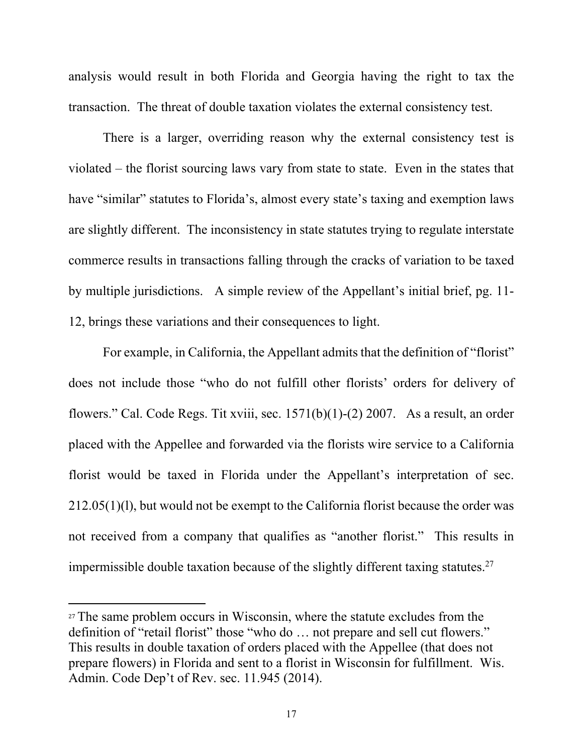analysis would result in both Florida and Georgia having the right to tax the transaction. The threat of double taxation violates the external consistency test.

There is a larger, overriding reason why the external consistency test is violated – the florist sourcing laws vary from state to state. Even in the states that have "similar" statutes to Florida's, almost every state's taxing and exemption laws are slightly different. The inconsistency in state statutes trying to regulate interstate commerce results in transactions falling through the cracks of variation to be taxed by multiple jurisdictions. A simple review of the Appellant's initial brief, pg. 11- 12, brings these variations and their consequences to light.

For example, in California, the Appellant admits that the definition of "florist" does not include those "who do not fulfill other florists' orders for delivery of flowers." Cal. Code Regs. Tit xviii, sec. 1571(b)(1)-(2) 2007. As a result, an order placed with the Appellee and forwarded via the florists wire service to a California florist would be taxed in Florida under the Appellant's interpretation of sec. 212.05(1)(l), but would not be exempt to the California florist because the order was not received from a company that qualifies as "another florist." This results in impermissible double taxation because of the slightly different taxing statutes.27

<sup>&</sup>lt;sup>27</sup> The same problem occurs in Wisconsin, where the statute excludes from the definition of "retail florist" those "who do … not prepare and sell cut flowers." This results in double taxation of orders placed with the Appellee (that does not prepare flowers) in Florida and sent to a florist in Wisconsin for fulfillment. Wis. Admin. Code Dep't of Rev. sec. 11.945 (2014).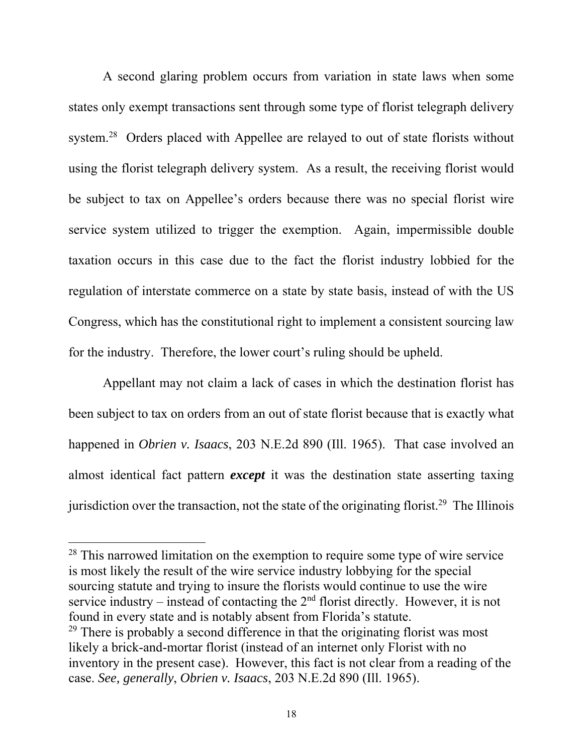A second glaring problem occurs from variation in state laws when some states only exempt transactions sent through some type of florist telegraph delivery system.28 Orders placed with Appellee are relayed to out of state florists without using the florist telegraph delivery system. As a result, the receiving florist would be subject to tax on Appellee's orders because there was no special florist wire service system utilized to trigger the exemption. Again, impermissible double taxation occurs in this case due to the fact the florist industry lobbied for the regulation of interstate commerce on a state by state basis, instead of with the US Congress, which has the constitutional right to implement a consistent sourcing law for the industry. Therefore, the lower court's ruling should be upheld.

Appellant may not claim a lack of cases in which the destination florist has been subject to tax on orders from an out of state florist because that is exactly what happened in *Obrien v. Isaacs*, 203 N.E.2d 890 (Ill. 1965). That case involved an almost identical fact pattern *except* it was the destination state asserting taxing jurisdiction over the transaction, not the state of the originating florist.<sup>29</sup> The Illinois

<sup>&</sup>lt;sup>28</sup> This narrowed limitation on the exemption to require some type of wire service is most likely the result of the wire service industry lobbying for the special sourcing statute and trying to insure the florists would continue to use the wire service industry – instead of contacting the  $2<sup>nd</sup>$  florist directly. However, it is not found in every state and is notably absent from Florida's statute.  $29$  There is probably a second difference in that the originating florist was most likely a brick-and-mortar florist (instead of an internet only Florist with no inventory in the present case). However, this fact is not clear from a reading of the case. *See, generally*, *Obrien v. Isaacs*, 203 N.E.2d 890 (Ill. 1965).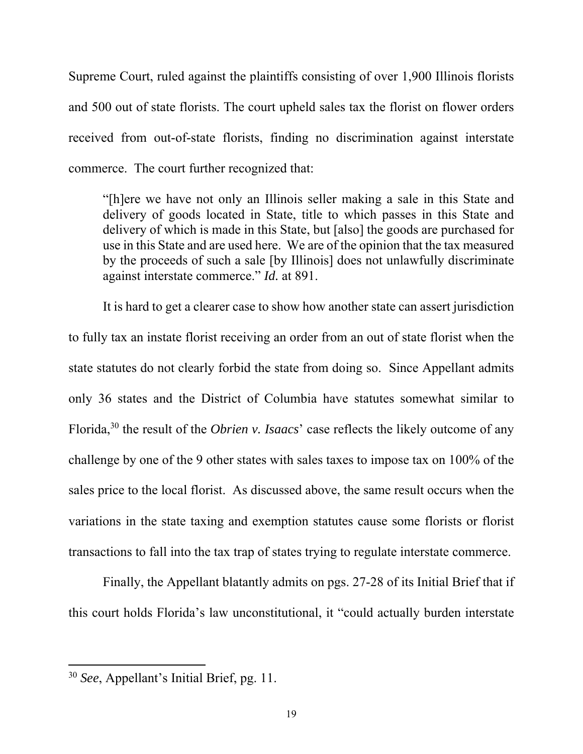Supreme Court, ruled against the plaintiffs consisting of over 1,900 Illinois florists and 500 out of state florists. The court upheld sales tax the florist on flower orders received from out-of-state florists, finding no discrimination against interstate commerce. The court further recognized that:

"[h]ere we have not only an Illinois seller making a sale in this State and delivery of goods located in State, title to which passes in this State and delivery of which is made in this State, but [also] the goods are purchased for use in this State and are used here. We are of the opinion that the tax measured by the proceeds of such a sale [by Illinois] does not unlawfully discriminate against interstate commerce." *Id.* at 891.

It is hard to get a clearer case to show how another state can assert jurisdiction to fully tax an instate florist receiving an order from an out of state florist when the state statutes do not clearly forbid the state from doing so. Since Appellant admits only 36 states and the District of Columbia have statutes somewhat similar to Florida,<sup>30</sup> the result of the *Obrien v. Isaacs*' case reflects the likely outcome of any challenge by one of the 9 other states with sales taxes to impose tax on 100% of the sales price to the local florist. As discussed above, the same result occurs when the variations in the state taxing and exemption statutes cause some florists or florist transactions to fall into the tax trap of states trying to regulate interstate commerce.

Finally, the Appellant blatantly admits on pgs. 27-28 of its Initial Brief that if this court holds Florida's law unconstitutional, it "could actually burden interstate

<sup>30</sup> *See*, Appellant's Initial Brief, pg. 11.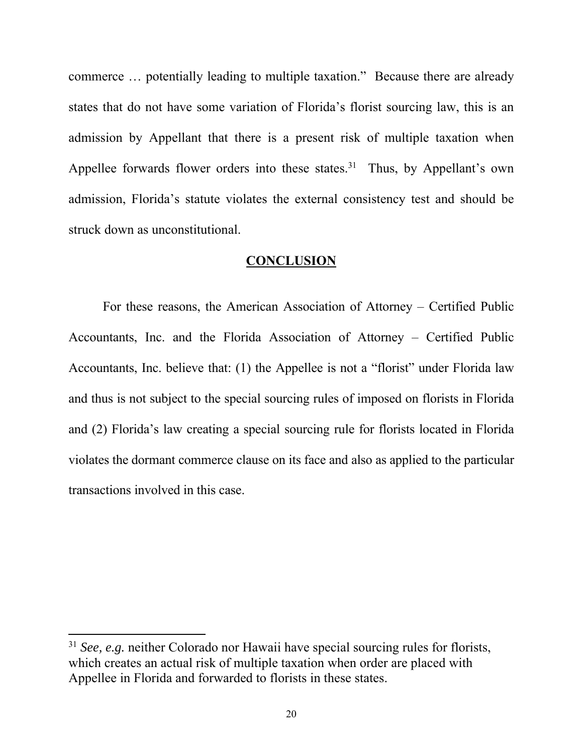commerce … potentially leading to multiple taxation." Because there are already states that do not have some variation of Florida's florist sourcing law, this is an admission by Appellant that there is a present risk of multiple taxation when Appellee forwards flower orders into these states.<sup>31</sup> Thus, by Appellant's own admission, Florida's statute violates the external consistency test and should be struck down as unconstitutional.

#### **CONCLUSION**

 For these reasons, the American Association of Attorney – Certified Public Accountants, Inc. and the Florida Association of Attorney – Certified Public Accountants, Inc. believe that: (1) the Appellee is not a "florist" under Florida law and thus is not subject to the special sourcing rules of imposed on florists in Florida and (2) Florida's law creating a special sourcing rule for florists located in Florida violates the dormant commerce clause on its face and also as applied to the particular transactions involved in this case.

<sup>31</sup> *See, e.g.* neither Colorado nor Hawaii have special sourcing rules for florists, which creates an actual risk of multiple taxation when order are placed with Appellee in Florida and forwarded to florists in these states.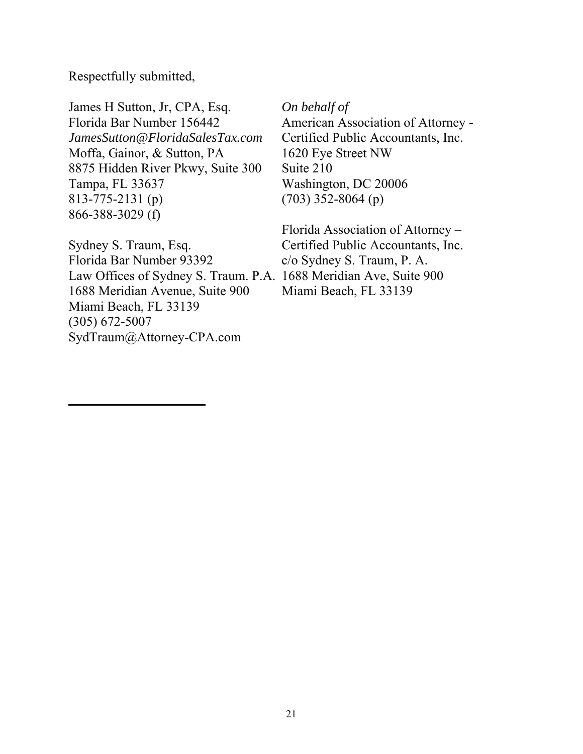Respectfully submitted,

James H Sutton, Jr, CPA, Esq. *On behalf of* Florida Bar Number 156442 American Association of Attorney -*JamesSutton@FloridaSalesTax.com* Certified Public Accountants, Inc. Moffa, Gainor, & Sutton, PA 1620 Eye Street NW 8875 Hidden River Pkwy, Suite 300 Suite 210 Tampa, FL 33637 Washington, DC 20006 813-775-2131 (p) (703) 352-8064 (p) 866-388-3029 (f)

Sydney S. Traum, Esq. Certified Public Accountants, Inc. Florida Bar Number 93392 c/o Sydney S. Traum, P. A. Law Offices of Sydney S. Traum. P.A. 1688 Meridian Ave, Suite 900 1688 Meridian Avenue, Suite 900 Miami Beach, FL 33139 Miami Beach, FL 33139 (305) 672-5007 SydTraum@Attorney-CPA.com

Florida Association of Attorney –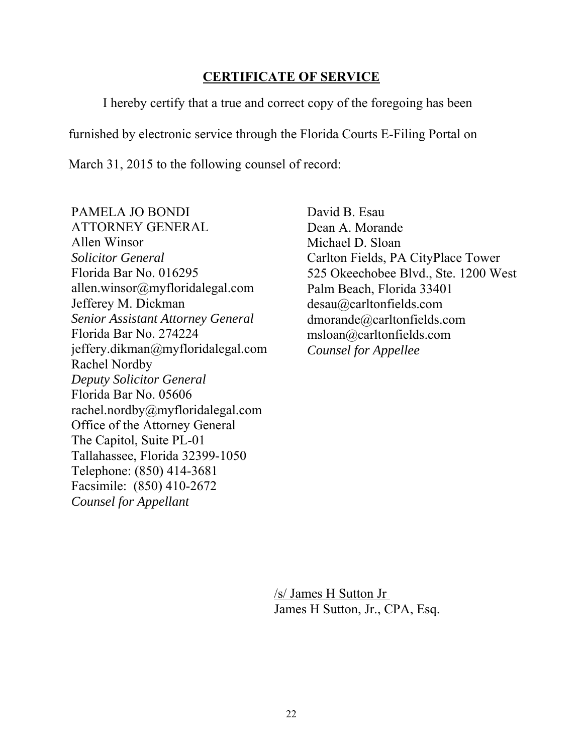#### **CERTIFICATE OF SERVICE**

I hereby certify that a true and correct copy of the foregoing has been

furnished by electronic service through the Florida Courts E-Filing Portal on

March 31, 2015 to the following counsel of record:

PAMELA JO BONDI ATTORNEY GENERAL Allen Winsor *Solicitor General*  Florida Bar No. 016295 allen.winsor@myfloridalegal.com Jefferey M. Dickman *Senior Assistant Attorney General*  Florida Bar No. 274224 jeffery.dikman@myfloridalegal.com Rachel Nordby *Deputy Solicitor General* Florida Bar No. 05606 rachel.nordby@myfloridalegal.com Office of the Attorney General The Capitol, Suite PL-01 Tallahassee, Florida 32399-1050 Telephone: (850) 414-3681 Facsimile: (850) 410-2672 *Counsel for Appellant* 

David B. Esau Dean A. Morande Michael D. Sloan Carlton Fields, PA CityPlace Tower 525 Okeechobee Blvd., Ste. 1200 West Palm Beach, Florida 33401 desau@carltonfields.com dmorande@carltonfields.com msloan@carltonfields.com *Counsel for Appellee* 

/s/ James H Sutton Jr James H Sutton, Jr., CPA, Esq.